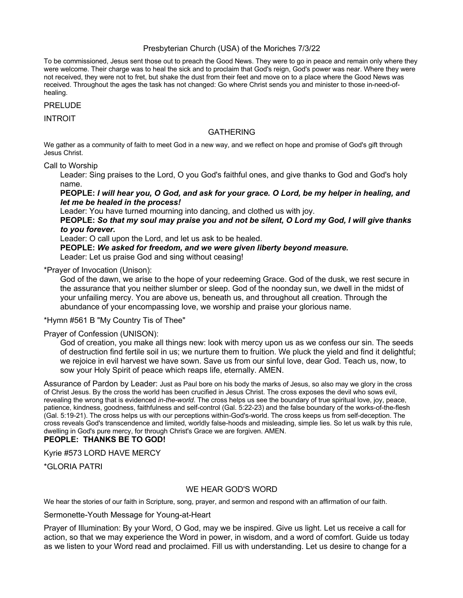## Presbyterian Church (USA) of the Moriches 7/3/22

To be commissioned, Jesus sent those out to preach the Good News. They were to go in peace and remain only where they were welcome. Their charge was to heal the sick and to proclaim that God's reign, God's power was near. Where they were not received, they were not to fret, but shake the dust from their feet and move on to a place where the Good News was received. Throughout the ages the task has not changed: Go where Christ sends you and minister to those in-need-ofhealing.

PRELUDE

INTROIT

## **GATHERING**

We gather as a community of faith to meet God in a new way, and we reflect on hope and promise of God's gift through Jesus Christ.

Call to Worship

Leader: Sing praises to the Lord, O you God's faithful ones, and give thanks to God and God's holy name.

**PEOPLE:** *I will hear you, O God, and ask for your grace. O Lord, be my helper in healing, and let me be healed in the process!*

Leader: You have turned mourning into dancing, and clothed us with joy.

**PEOPLE:** *So that my soul may praise you and not be silent, O Lord my God, I will give thanks to you forever.*

Leader: O call upon the Lord, and let us ask to be healed.

**PEOPLE:** *We asked for freedom, and we were given liberty beyond measure.* Leader: Let us praise God and sing without ceasing!

\*Prayer of Invocation (Unison):

God of the dawn, we arise to the hope of your redeeming Grace. God of the dusk, we rest secure in the assurance that you neither slumber or sleep. God of the noonday sun, we dwell in the midst of your unfailing mercy. You are above us, beneath us, and throughout all creation. Through the abundance of your encompassing love, we worship and praise your glorious name.

\*Hymn #561 B "My Country Tis of Thee"

Prayer of Confession (UNISON):

God of creation, you make all things new: look with mercy upon us as we confess our sin. The seeds of destruction find fertile soil in us; we nurture them to fruition. We pluck the yield and find it delightful; we rejoice in evil harvest we have sown. Save us from our sinful love, dear God. Teach us, now, to sow your Holy Spirit of peace which reaps life, eternally. AMEN.

Assurance of Pardon by Leader: Just as Paul bore on his body the marks of Jesus, so also may we glory in the cross of Christ Jesus. By the cross the world has been crucified in Jesus Christ. The cross exposes the devil who sows evil, revealing the wrong that is evidenced *in-the-world*. The cross helps us see the boundary of true spiritual love, joy, peace, patience, kindness, goodness, faithfulness and self-control (Gal. 5:22-23) and the false boundary of the works-of-the-flesh (Gal. 5:19-21). The cross helps us with our perceptions within-God's-world. The cross keeps us from self-deception. The cross reveals God's transcendence and limited, worldly false-hoods and misleading, simple lies. So let us walk by this rule, dwelling in God's pure mercy, for through Christ's Grace we are forgiven. AMEN.

# **PEOPLE: THANKS BE TO GOD!**

Kyrie #573 LORD HAVE MERCY

\*GLORIA PATRI

#### WE HEAR GOD'S WORD

We hear the stories of our faith in Scripture, song, prayer, and sermon and respond with an affirmation of our faith.

Sermonette-Youth Message for Young-at-Heart

Prayer of Illumination: By your Word, O God, may we be inspired. Give us light. Let us receive a call for action, so that we may experience the Word in power, in wisdom, and a word of comfort. Guide us today as we listen to your Word read and proclaimed. Fill us with understanding. Let us desire to change for a